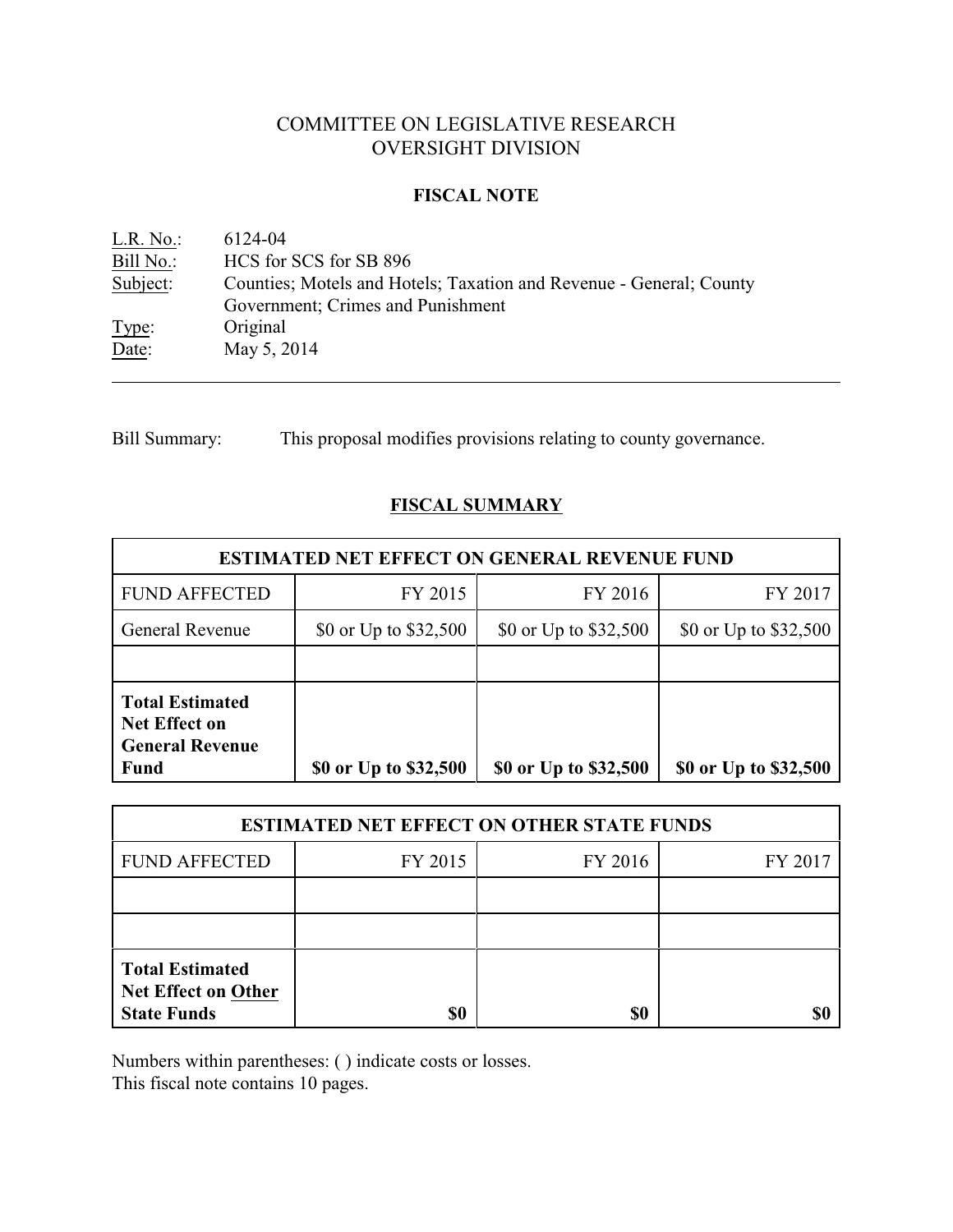# COMMITTEE ON LEGISLATIVE RESEARCH OVERSIGHT DIVISION

# **FISCAL NOTE**

| L.R. No.: | 6124-04                                                             |
|-----------|---------------------------------------------------------------------|
| Bill No.: | HCS for SCS for SB 896                                              |
| Subject:  | Counties; Motels and Hotels; Taxation and Revenue - General; County |
|           | Government; Crimes and Punishment                                   |
| Type:     | Original                                                            |
| Date:     | May 5, 2014                                                         |

Bill Summary: This proposal modifies provisions relating to county governance.

# **FISCAL SUMMARY**

| <b>ESTIMATED NET EFFECT ON GENERAL REVENUE FUND</b>                                     |                       |                       |                       |  |  |
|-----------------------------------------------------------------------------------------|-----------------------|-----------------------|-----------------------|--|--|
| <b>FUND AFFECTED</b>                                                                    | FY 2015               | FY 2016               | FY 2017               |  |  |
| <b>General Revenue</b>                                                                  | \$0 or Up to \$32,500 | \$0 or Up to \$32,500 | \$0 or Up to \$32,500 |  |  |
|                                                                                         |                       |                       |                       |  |  |
| <b>Total Estimated</b><br><b>Net Effect on</b><br><b>General Revenue</b><br><b>Fund</b> | \$0 or Up to \$32,500 | \$0 or Up to \$32,500 | \$0 or Up to \$32,500 |  |  |

| <b>ESTIMATED NET EFFECT ON OTHER STATE FUNDS</b>                           |         |         |         |  |  |
|----------------------------------------------------------------------------|---------|---------|---------|--|--|
| <b>FUND AFFECTED</b>                                                       | FY 2015 | FY 2016 | FY 2017 |  |  |
|                                                                            |         |         |         |  |  |
|                                                                            |         |         |         |  |  |
| <b>Total Estimated</b><br><b>Net Effect on Other</b><br><b>State Funds</b> | \$0     | \$0     |         |  |  |

Numbers within parentheses: ( ) indicate costs or losses.

This fiscal note contains 10 pages.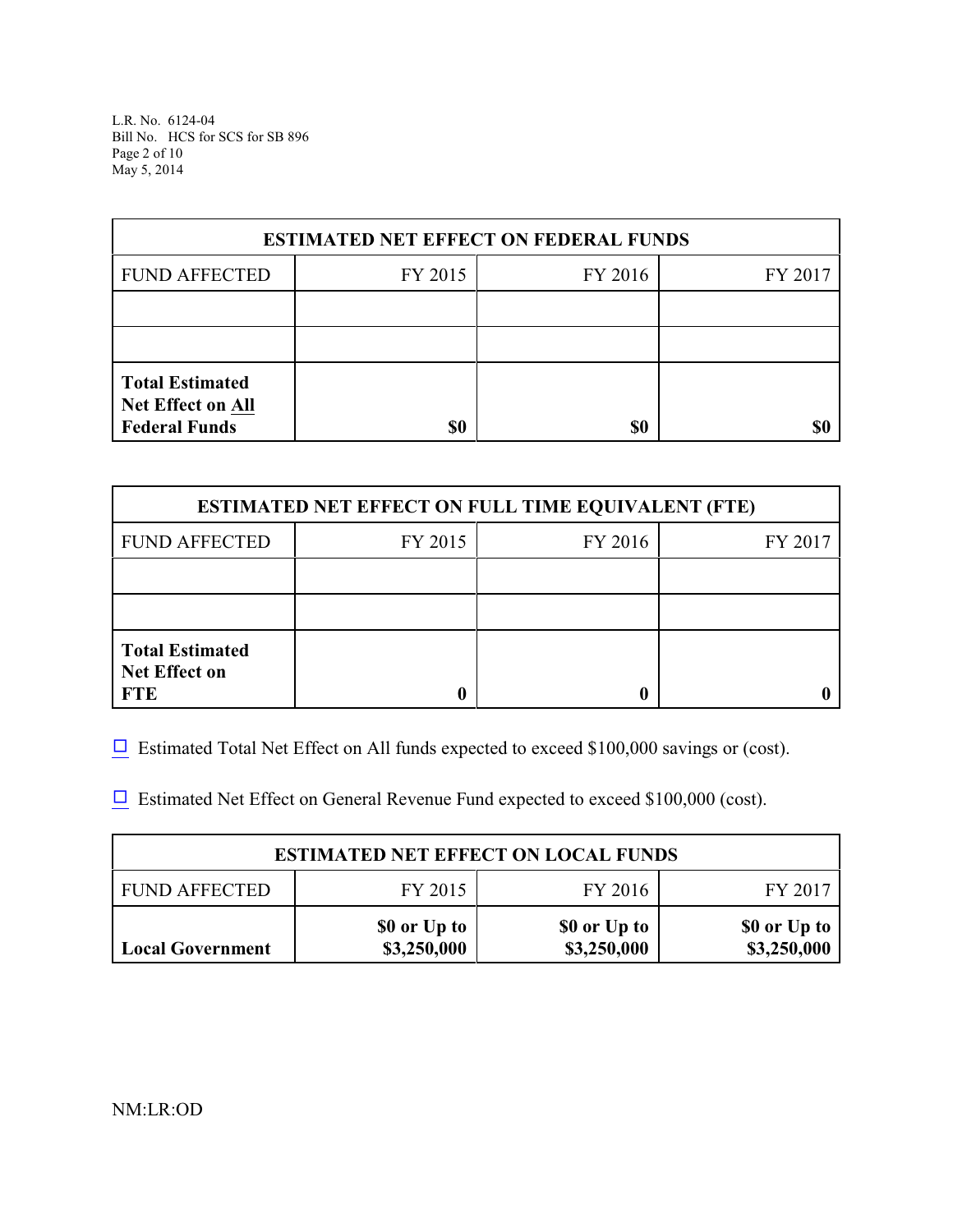L.R. No. 6124-04 Bill No. HCS for SCS for SB 896 Page 2 of 10 May 5, 2014

| <b>ESTIMATED NET EFFECT ON FEDERAL FUNDS</b>                        |         |         |         |  |  |
|---------------------------------------------------------------------|---------|---------|---------|--|--|
| <b>FUND AFFECTED</b>                                                | FY 2015 | FY 2016 | FY 2017 |  |  |
|                                                                     |         |         |         |  |  |
|                                                                     |         |         |         |  |  |
| <b>Total Estimated</b><br>Net Effect on All<br><b>Federal Funds</b> | \$0     | \$0     |         |  |  |

| <b>ESTIMATED NET EFFECT ON FULL TIME EQUIVALENT (FTE)</b>    |         |         |         |  |  |
|--------------------------------------------------------------|---------|---------|---------|--|--|
| <b>FUND AFFECTED</b>                                         | FY 2015 | FY 2016 | FY 2017 |  |  |
|                                                              |         |         |         |  |  |
|                                                              |         |         |         |  |  |
| <b>Total Estimated</b><br><b>Net Effect on</b><br><b>FTE</b> |         |         |         |  |  |

 $\Box$  Estimated Total Net Effect on All funds expected to exceed \$100,000 savings or (cost).

 $\Box$  Estimated Net Effect on General Revenue Fund expected to exceed \$100,000 (cost).

| <b>ESTIMATED NET EFFECT ON LOCAL FUNDS</b>            |                             |                             |                             |  |  |  |
|-------------------------------------------------------|-----------------------------|-----------------------------|-----------------------------|--|--|--|
| FY 2015<br>FY 2016<br><b>FUND AFFECTED</b><br>FY 2017 |                             |                             |                             |  |  |  |
| <b>Local Government</b>                               | \$0 or Up to<br>\$3,250,000 | \$0 or Up to<br>\$3,250,000 | \$0 or Up to<br>\$3,250,000 |  |  |  |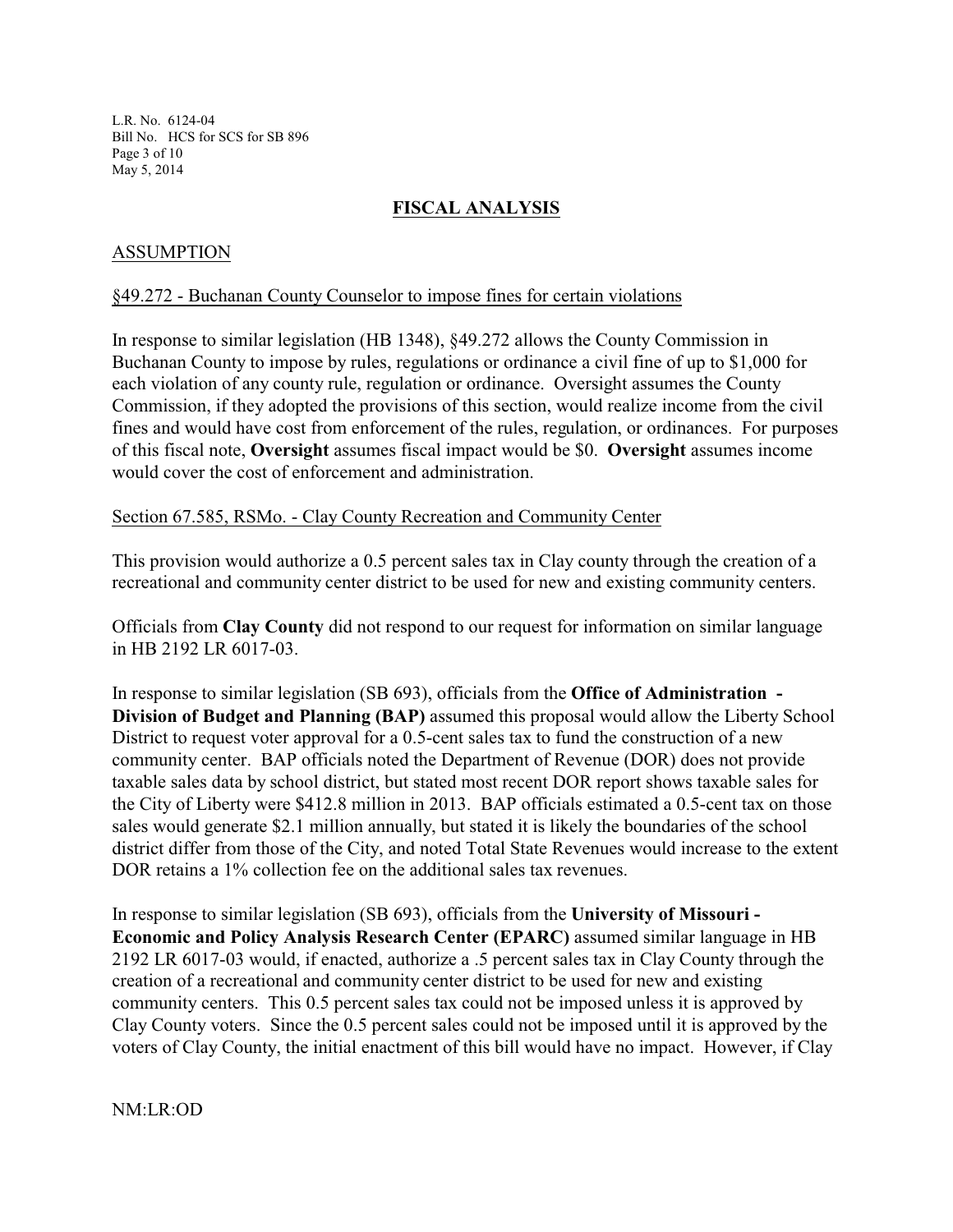L.R. No. 6124-04 Bill No. HCS for SCS for SB 896 Page 3 of 10 May 5, 2014

# **FISCAL ANALYSIS**

# ASSUMPTION

#### §49.272 - Buchanan County Counselor to impose fines for certain violations

In response to similar legislation (HB 1348), §49.272 allows the County Commission in Buchanan County to impose by rules, regulations or ordinance a civil fine of up to \$1,000 for each violation of any county rule, regulation or ordinance. Oversight assumes the County Commission, if they adopted the provisions of this section, would realize income from the civil fines and would have cost from enforcement of the rules, regulation, or ordinances. For purposes of this fiscal note, **Oversight** assumes fiscal impact would be \$0. **Oversight** assumes income would cover the cost of enforcement and administration.

#### Section 67.585, RSMo. - Clay County Recreation and Community Center

This provision would authorize a 0.5 percent sales tax in Clay county through the creation of a recreational and community center district to be used for new and existing community centers.

Officials from **Clay County** did not respond to our request for information on similar language in HB 2192 LR 6017-03.

In response to similar legislation (SB 693), officials from the **Office of Administration - Division of Budget and Planning (BAP)** assumed this proposal would allow the Liberty School District to request voter approval for a 0.5-cent sales tax to fund the construction of a new community center. BAP officials noted the Department of Revenue (DOR) does not provide taxable sales data by school district, but stated most recent DOR report shows taxable sales for the City of Liberty were \$412.8 million in 2013. BAP officials estimated a 0.5-cent tax on those sales would generate \$2.1 million annually, but stated it is likely the boundaries of the school district differ from those of the City, and noted Total State Revenues would increase to the extent DOR retains a 1% collection fee on the additional sales tax revenues.

In response to similar legislation (SB 693), officials from the **University of Missouri - Economic and Policy Analysis Research Center (EPARC)** assumed similar language in HB 2192 LR 6017-03 would, if enacted, authorize a .5 percent sales tax in Clay County through the creation of a recreational and community center district to be used for new and existing community centers. This 0.5 percent sales tax could not be imposed unless it is approved by Clay County voters. Since the 0.5 percent sales could not be imposed until it is approved by the voters of Clay County, the initial enactment of this bill would have no impact. However, if Clay

NM:LR:OD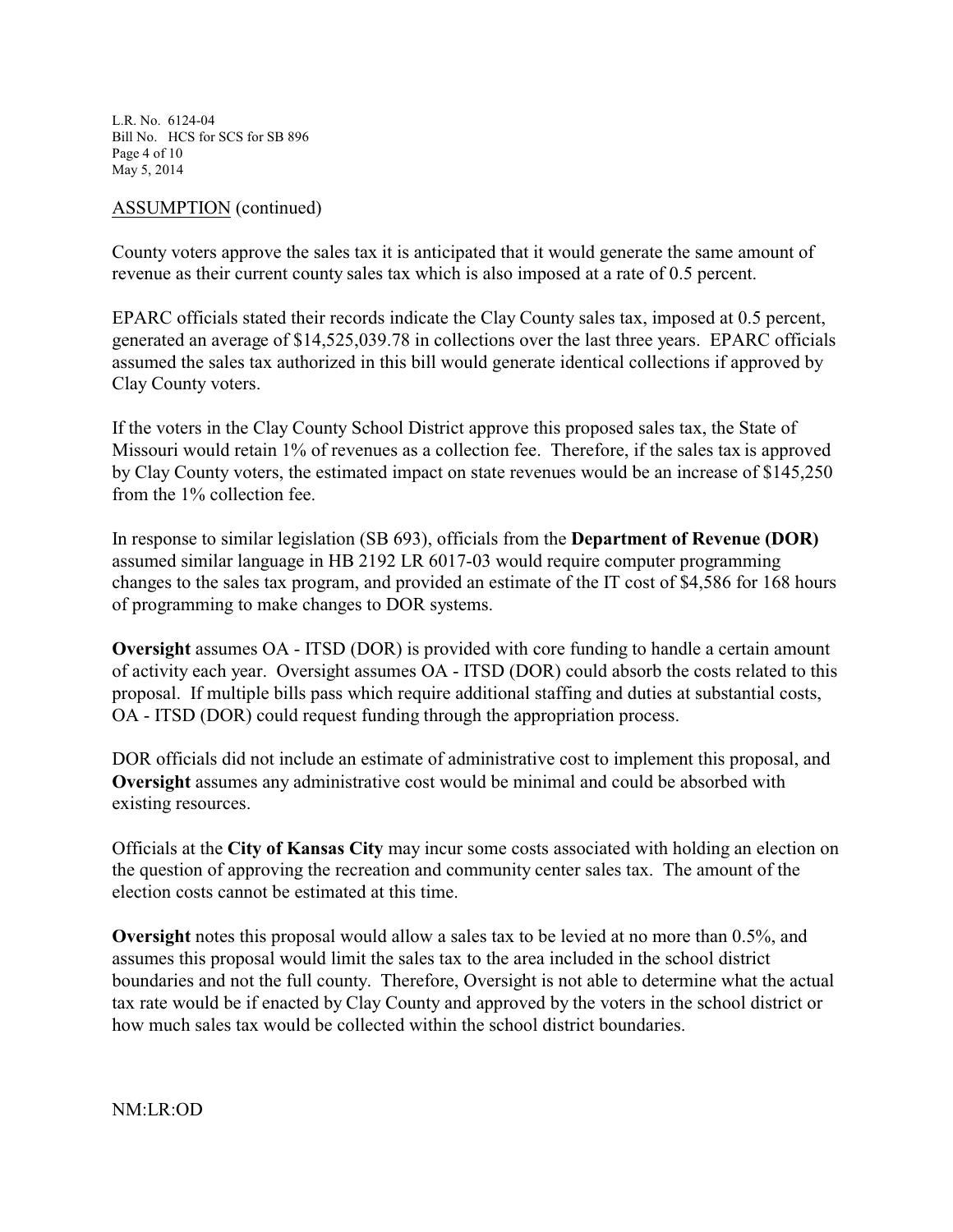L.R. No. 6124-04 Bill No. HCS for SCS for SB 896 Page 4 of 10 May 5, 2014

## ASSUMPTION (continued)

County voters approve the sales tax it is anticipated that it would generate the same amount of revenue as their current county sales tax which is also imposed at a rate of 0.5 percent.

EPARC officials stated their records indicate the Clay County sales tax, imposed at 0.5 percent, generated an average of \$14,525,039.78 in collections over the last three years. EPARC officials assumed the sales tax authorized in this bill would generate identical collections if approved by Clay County voters.

If the voters in the Clay County School District approve this proposed sales tax, the State of Missouri would retain 1% of revenues as a collection fee. Therefore, if the sales tax is approved by Clay County voters, the estimated impact on state revenues would be an increase of \$145,250 from the 1% collection fee.

In response to similar legislation (SB 693), officials from the **Department of Revenue (DOR)** assumed similar language in HB 2192 LR 6017-03 would require computer programming changes to the sales tax program, and provided an estimate of the IT cost of \$4,586 for 168 hours of programming to make changes to DOR systems.

**Oversight** assumes OA - ITSD (DOR) is provided with core funding to handle a certain amount of activity each year. Oversight assumes OA - ITSD (DOR) could absorb the costs related to this proposal. If multiple bills pass which require additional staffing and duties at substantial costs, OA - ITSD (DOR) could request funding through the appropriation process.

DOR officials did not include an estimate of administrative cost to implement this proposal, and **Oversight** assumes any administrative cost would be minimal and could be absorbed with existing resources.

Officials at the **City of Kansas City** may incur some costs associated with holding an election on the question of approving the recreation and community center sales tax. The amount of the election costs cannot be estimated at this time.

**Oversight** notes this proposal would allow a sales tax to be levied at no more than 0.5%, and assumes this proposal would limit the sales tax to the area included in the school district boundaries and not the full county. Therefore, Oversight is not able to determine what the actual tax rate would be if enacted by Clay County and approved by the voters in the school district or how much sales tax would be collected within the school district boundaries.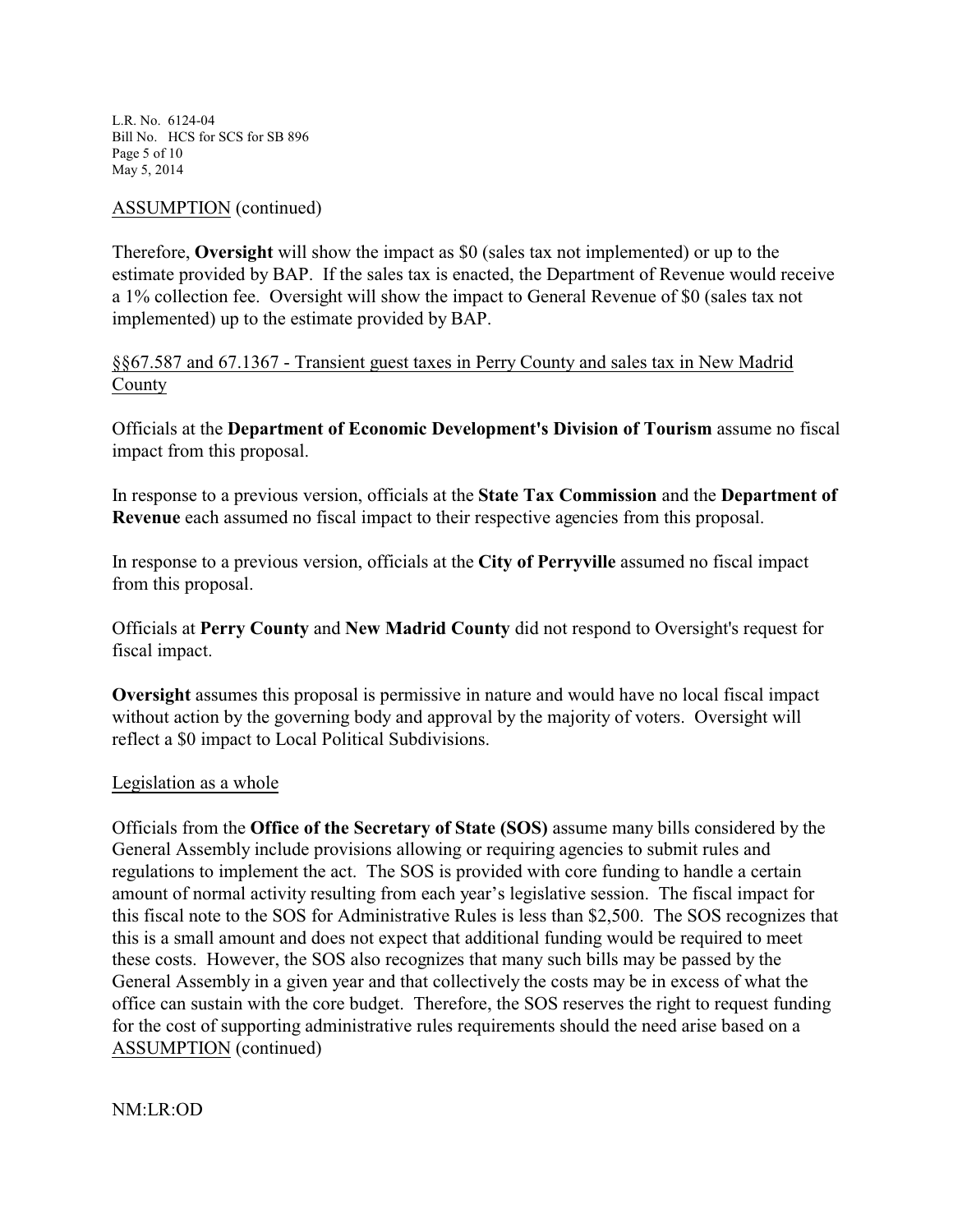L.R. No. 6124-04 Bill No. HCS for SCS for SB 896 Page 5 of 10 May 5, 2014

## ASSUMPTION (continued)

Therefore, **Oversight** will show the impact as \$0 (sales tax not implemented) or up to the estimate provided by BAP. If the sales tax is enacted, the Department of Revenue would receive a 1% collection fee. Oversight will show the impact to General Revenue of \$0 (sales tax not implemented) up to the estimate provided by BAP.

# §§67.587 and 67.1367 - Transient guest taxes in Perry County and sales tax in New Madrid County

Officials at the **Department of Economic Development's Division of Tourism** assume no fiscal impact from this proposal.

In response to a previous version, officials at the **State Tax Commission** and the **Department of Revenue** each assumed no fiscal impact to their respective agencies from this proposal.

In response to a previous version, officials at the **City of Perryville** assumed no fiscal impact from this proposal.

Officials at **Perry County** and **New Madrid County** did not respond to Oversight's request for fiscal impact.

**Oversight** assumes this proposal is permissive in nature and would have no local fiscal impact without action by the governing body and approval by the majority of voters. Oversight will reflect a \$0 impact to Local Political Subdivisions.

## Legislation as a whole

Officials from the **Office of the Secretary of State (SOS)** assume many bills considered by the General Assembly include provisions allowing or requiring agencies to submit rules and regulations to implement the act. The SOS is provided with core funding to handle a certain amount of normal activity resulting from each year's legislative session. The fiscal impact for this fiscal note to the SOS for Administrative Rules is less than \$2,500. The SOS recognizes that this is a small amount and does not expect that additional funding would be required to meet these costs. However, the SOS also recognizes that many such bills may be passed by the General Assembly in a given year and that collectively the costs may be in excess of what the office can sustain with the core budget. Therefore, the SOS reserves the right to request funding for the cost of supporting administrative rules requirements should the need arise based on a ASSUMPTION (continued)

NM:LR:OD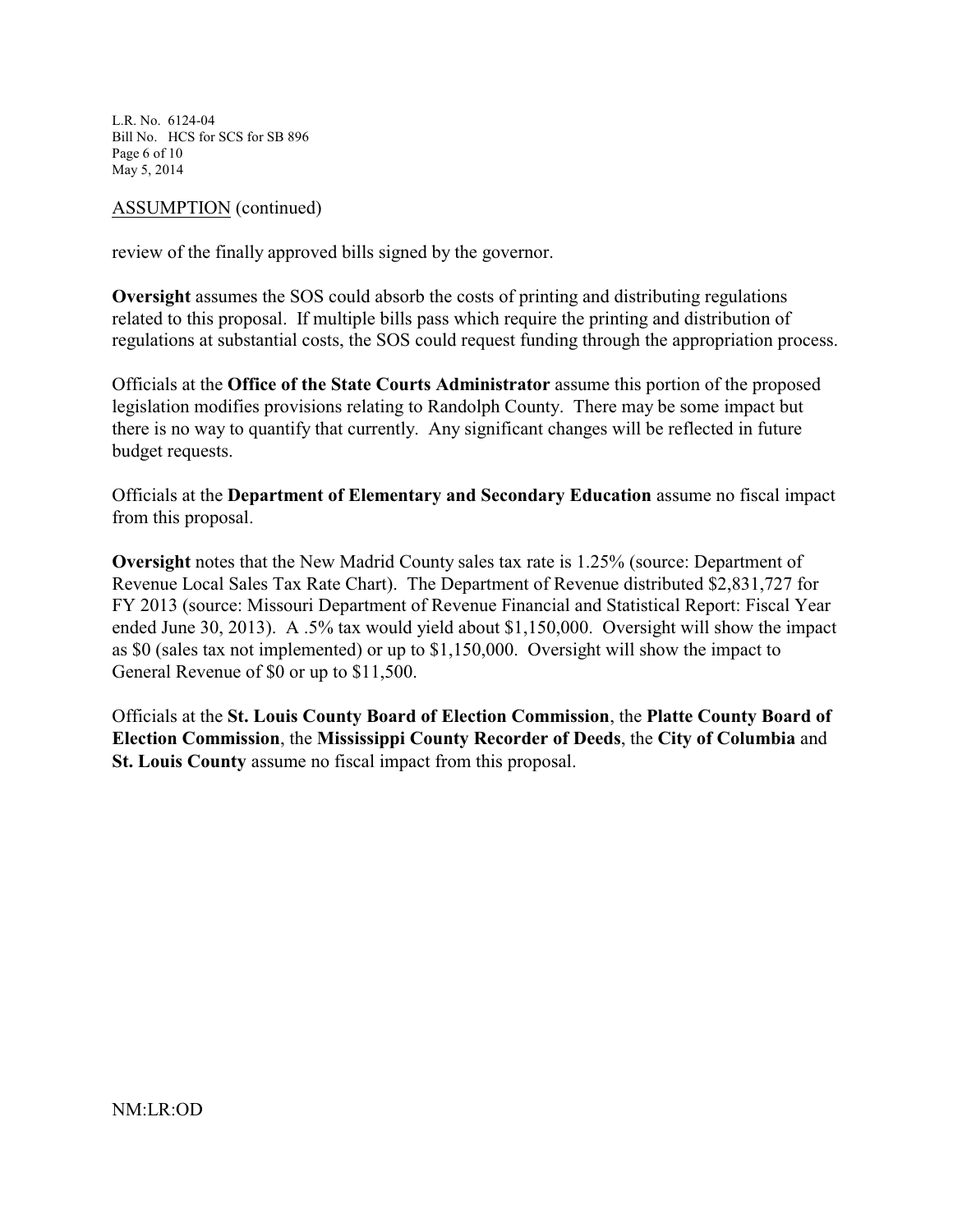L.R. No. 6124-04 Bill No. HCS for SCS for SB 896 Page 6 of 10 May 5, 2014

### ASSUMPTION (continued)

review of the finally approved bills signed by the governor.

**Oversight** assumes the SOS could absorb the costs of printing and distributing regulations related to this proposal. If multiple bills pass which require the printing and distribution of regulations at substantial costs, the SOS could request funding through the appropriation process.

Officials at the **Office of the State Courts Administrator** assume this portion of the proposed legislation modifies provisions relating to Randolph County. There may be some impact but there is no way to quantify that currently. Any significant changes will be reflected in future budget requests.

Officials at the **Department of Elementary and Secondary Education** assume no fiscal impact from this proposal.

**Oversight** notes that the New Madrid County sales tax rate is 1.25% (source: Department of Revenue Local Sales Tax Rate Chart). The Department of Revenue distributed \$2,831,727 for FY 2013 (source: Missouri Department of Revenue Financial and Statistical Report: Fiscal Year ended June 30, 2013). A .5% tax would yield about \$1,150,000. Oversight will show the impact as \$0 (sales tax not implemented) or up to \$1,150,000. Oversight will show the impact to General Revenue of \$0 or up to \$11,500.

Officials at the **St. Louis County Board of Election Commission**, the **Platte County Board of Election Commission**, the **Mississippi County Recorder of Deeds**, the **City of Columbia** and **St. Louis County** assume no fiscal impact from this proposal.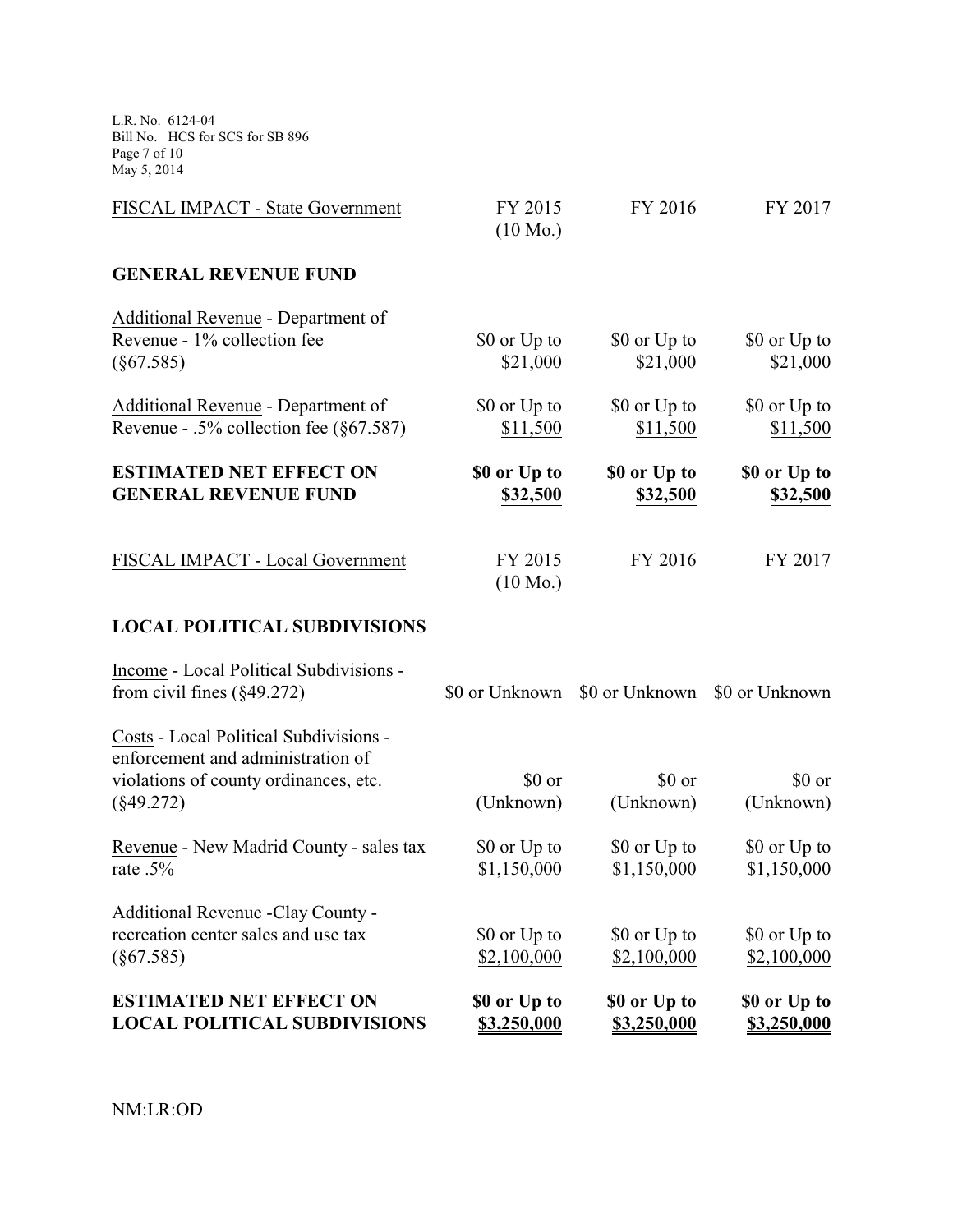L.R. No. 6124-04 Bill No. HCS for SCS for SB 896 Page 7 of 10 May 5, 2014

| FISCAL IMPACT - State Government           | FY 2015<br>$(10 \text{ Mo.})$ | FY 2016      | FY 2017      |
|--------------------------------------------|-------------------------------|--------------|--------------|
| <b>GENERAL REVENUE FUND</b>                |                               |              |              |
| Additional Revenue - Department of         |                               |              |              |
| Revenue - 1% collection fee                | \$0 or Up to                  | \$0 or Up to | \$0 or Up to |
| (§67.585)                                  | \$21,000                      | \$21,000     | \$21,000     |
| Additional Revenue - Department of         | \$0 or Up to                  | \$0 or Up to | \$0 or Up to |
| Revenue - .5% collection fee $(\S 67.587)$ | \$11,500                      | \$11,500     | \$11,500     |
| <b>ESTIMATED NET EFFECT ON</b>             | \$0 or Up to                  | \$0 or Up to | \$0 or Up to |
| <b>GENERAL REVENUE FUND</b>                | \$32,500                      | \$32,500     | \$32,500     |
| FISCAL IMPACT - Local Government           | FY 2015                       | FY 2016      | FY 2017      |
|                                            | $(10 \text{ Mo.})$            |              |              |
|                                            |                               |              |              |

# **LOCAL POLITICAL SUBDIVISIONS**

| <b>ESTIMATED NET EFFECT ON</b><br><b>LOCAL POLITICAL SUBDIVISIONS</b>                                                | \$0 or Up to<br>\$3,250,000 | \$0 or Up to<br>\$3,250,000 | \$0 or Up to<br>\$3,250,000   |
|----------------------------------------------------------------------------------------------------------------------|-----------------------------|-----------------------------|-------------------------------|
| (§67.585)                                                                                                            | \$2,100,000                 | \$2,100,000                 | \$2,100,000                   |
| Additional Revenue - Clay County -<br>recreation center sales and use tax                                            | \$0 or Up to                | \$0 or Up to                | \$0 or Up to                  |
| rate $.5\%$                                                                                                          | \$1,150,000                 | \$1,150,000                 | \$1,150,000                   |
| Revenue - New Madrid County - sales tax                                                                              | \$0 or Up to                | \$0 or Up to                | \$0 or Up to                  |
| $(\$49.272)$                                                                                                         | (Unknown)                   | (Unknown)                   | (Unknown)                     |
| Costs - Local Political Subdivisions -<br>enforcement and administration of<br>violations of county ordinances, etc. | \$0 or                      | \$0 or                      | \$0 or                        |
| Income - Local Political Subdivisions -<br>from civil fines $(\S 49.272)$                                            | \$0 or Unknown              |                             | \$0 or Unknown \$0 or Unknown |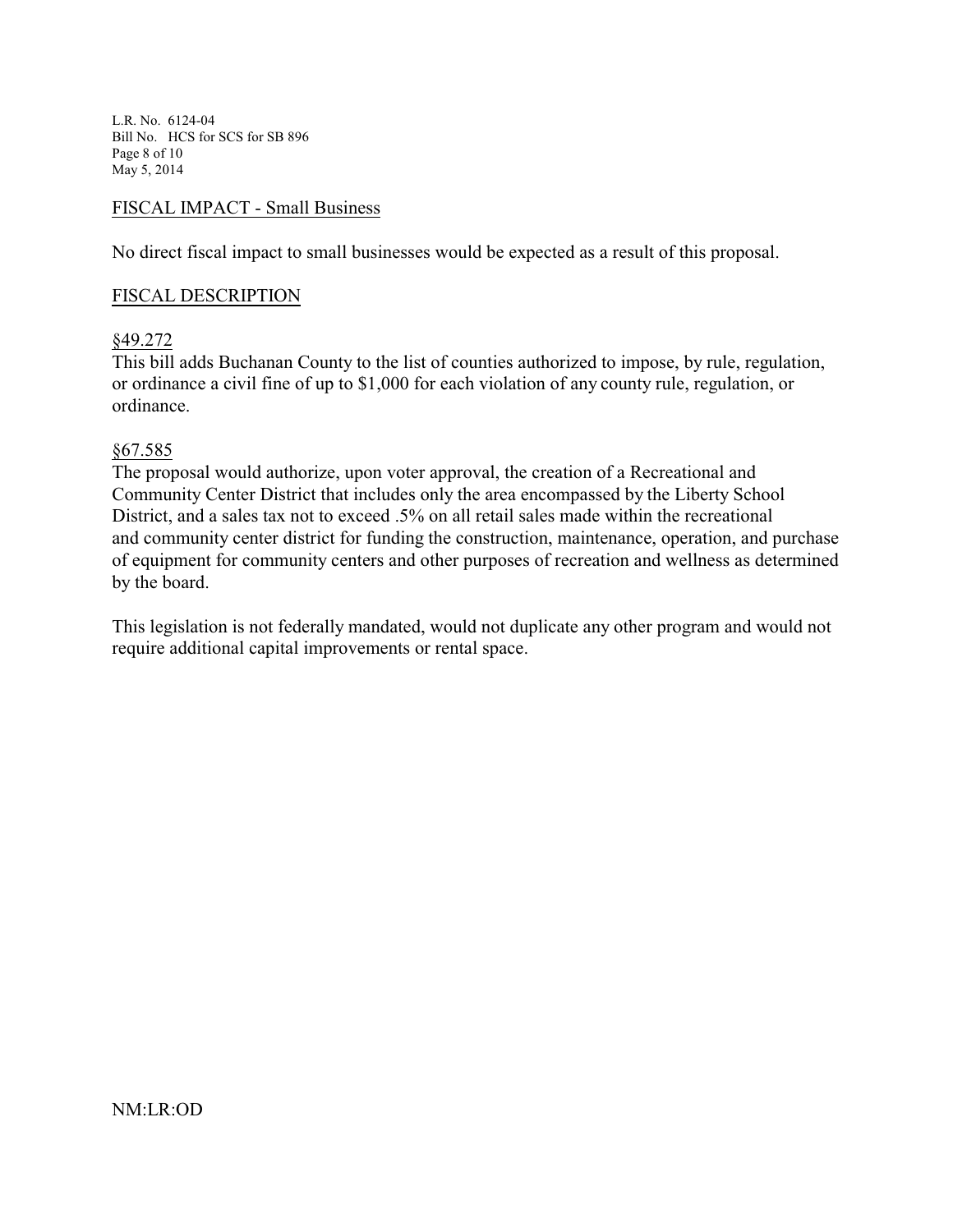L.R. No. 6124-04 Bill No. HCS for SCS for SB 896 Page 8 of 10 May 5, 2014

### FISCAL IMPACT - Small Business

No direct fiscal impact to small businesses would be expected as a result of this proposal.

#### FISCAL DESCRIPTION

### §49.272

This bill adds Buchanan County to the list of counties authorized to impose, by rule, regulation, or ordinance a civil fine of up to \$1,000 for each violation of any county rule, regulation, or ordinance.

#### §67.585

The proposal would authorize, upon voter approval, the creation of a Recreational and Community Center District that includes only the area encompassed by the Liberty School District, and a sales tax not to exceed .5% on all retail sales made within the recreational and community center district for funding the construction, maintenance, operation, and purchase of equipment for community centers and other purposes of recreation and wellness as determined by the board.

This legislation is not federally mandated, would not duplicate any other program and would not require additional capital improvements or rental space.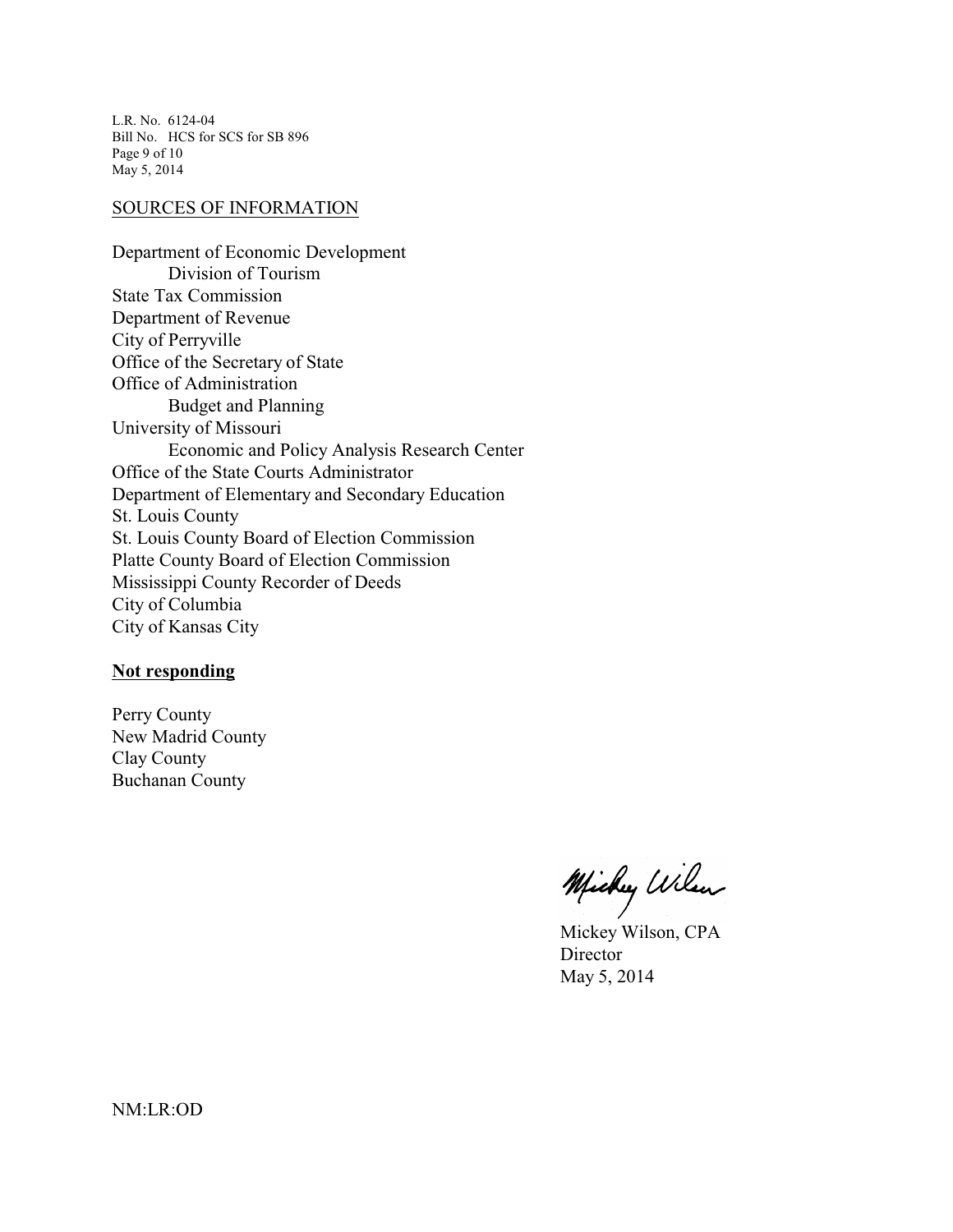L.R. No. 6124-04 Bill No. HCS for SCS for SB 896 Page 9 of 10 May 5, 2014

#### SOURCES OF INFORMATION

Department of Economic Development Division of Tourism State Tax Commission Department of Revenue City of Perryville Office of the Secretary of State Office of Administration Budget and Planning University of Missouri Economic and Policy Analysis Research Center Office of the State Courts Administrator Department of Elementary and Secondary Education St. Louis County St. Louis County Board of Election Commission Platte County Board of Election Commission Mississippi County Recorder of Deeds City of Columbia City of Kansas City

### **Not responding**

Perry County New Madrid County Clay County Buchanan County

Michy Wilen

Mickey Wilson, CPA **Director** May 5, 2014

NM:LR:OD